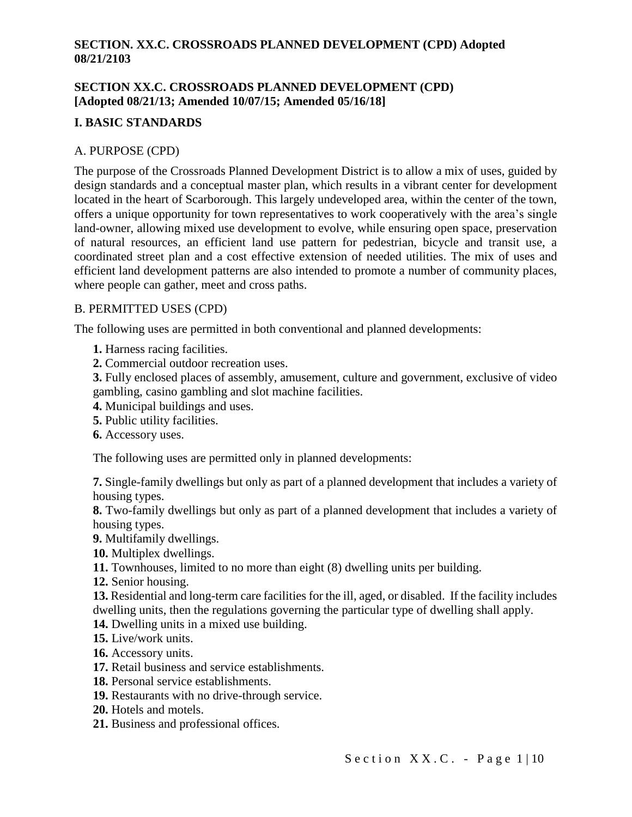## **SECTION XX.C. CROSSROADS PLANNED DEVELOPMENT (CPD) [Adopted 08/21/13; Amended 10/07/15; Amended 05/16/18]**

# **I. BASIC STANDARDS**

## A. PURPOSE (CPD)

The purpose of the Crossroads Planned Development District is to allow a mix of uses, guided by design standards and a conceptual master plan, which results in a vibrant center for development located in the heart of Scarborough. This largely undeveloped area, within the center of the town, offers a unique opportunity for town representatives to work cooperatively with the area's single land-owner, allowing mixed use development to evolve, while ensuring open space, preservation of natural resources, an efficient land use pattern for pedestrian, bicycle and transit use, a coordinated street plan and a cost effective extension of needed utilities. The mix of uses and efficient land development patterns are also intended to promote a number of community places, where people can gather, meet and cross paths.

### B. PERMITTED USES (CPD)

The following uses are permitted in both conventional and planned developments:

- **1.** Harness racing facilities.
- **2.** Commercial outdoor recreation uses.

**3.** Fully enclosed places of assembly, amusement, culture and government, exclusive of video gambling, casino gambling and slot machine facilities.

- **4.** Municipal buildings and uses.
- **5.** Public utility facilities.
- **6.** Accessory uses.

The following uses are permitted only in planned developments:

**7.** Single-family dwellings but only as part of a planned development that includes a variety of housing types.

**8.** Two-family dwellings but only as part of a planned development that includes a variety of housing types.

**9.** Multifamily dwellings.

- **10.** Multiplex dwellings.
- **11.** Townhouses, limited to no more than eight (8) dwelling units per building.
- **12.** Senior housing.
- **13.** Residential and long-term care facilities for the ill, aged, or disabled. If the facility includes dwelling units, then the regulations governing the particular type of dwelling shall apply.
- 
- **14.** Dwelling units in a mixed use building.
- **15.** Live/work units.
- **16.** Accessory units.
- **17.** Retail business and service establishments.
- **18.** Personal service establishments.
- **19.** Restaurants with no drive-through service.
- **20.** Hotels and motels.
- **21.** Business and professional offices.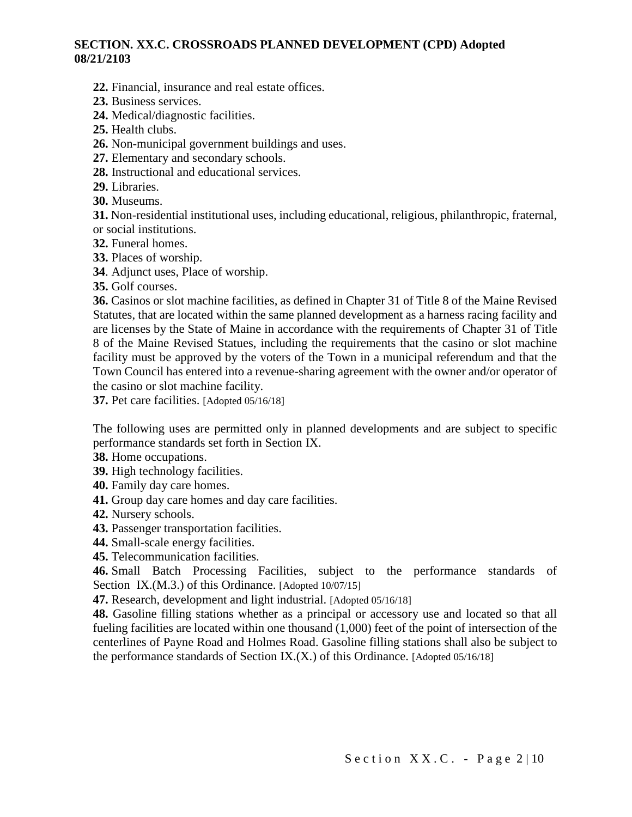- **22.** Financial, insurance and real estate offices.
- **23.** Business services.
- **24.** Medical/diagnostic facilities.
- **25.** Health clubs.
- **26.** Non-municipal government buildings and uses.
- **27.** Elementary and secondary schools.
- **28.** Instructional and educational services.
- **29.** Libraries.
- **30.** Museums.

**31.** Non-residential institutional uses, including educational, religious, philanthropic, fraternal, or social institutions.

- **32.** Funeral homes.
- **33.** Places of worship.
- **34**. Adjunct uses, Place of worship.

**35.** Golf courses.

**36.** Casinos or slot machine facilities, as defined in Chapter 31 of Title 8 of the Maine Revised Statutes, that are located within the same planned development as a harness racing facility and are licenses by the State of Maine in accordance with the requirements of Chapter 31 of Title 8 of the Maine Revised Statues, including the requirements that the casino or slot machine facility must be approved by the voters of the Town in a municipal referendum and that the Town Council has entered into a revenue-sharing agreement with the owner and/or operator of the casino or slot machine facility.

**37.** Pet care facilities. [Adopted 05/16/18]

The following uses are permitted only in planned developments and are subject to specific performance standards set forth in Section IX.

- **38.** Home occupations.
- **39.** High technology facilities.
- **40.** Family day care homes.
- **41.** Group day care homes and day care facilities.
- **42.** Nursery schools.
- **43.** Passenger transportation facilities.
- **44.** Small-scale energy facilities.
- **45.** Telecommunication facilities.

**46.** Small Batch Processing Facilities, subject to the performance standards of Section IX.(M.3.) of this Ordinance. [Adopted 10/07/15]

**47.** Research, development and light industrial. [Adopted 05/16/18]

**48.** Gasoline filling stations whether as a principal or accessory use and located so that all fueling facilities are located within one thousand (1,000) feet of the point of intersection of the centerlines of Payne Road and Holmes Road. Gasoline filling stations shall also be subject to the performance standards of Section IX.(X.) of this Ordinance. [Adopted 05/16/18]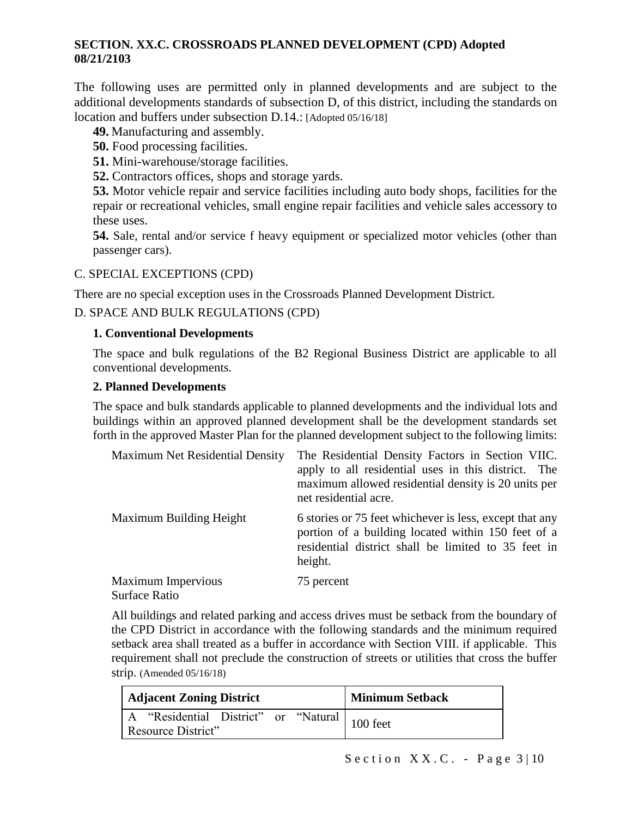The following uses are permitted only in planned developments and are subject to the additional developments standards of subsection D, of this district, including the standards on location and buffers under subsection D.14.: [Adopted 05/16/18]

- **49.** Manufacturing and assembly.
- **50.** Food processing facilities.
- **51.** Mini-warehouse/storage facilities.
- **52.** Contractors offices, shops and storage yards.

**53.** Motor vehicle repair and service facilities including auto body shops, facilities for the repair or recreational vehicles, small engine repair facilities and vehicle sales accessory to these uses.

**54.** Sale, rental and/or service f heavy equipment or specialized motor vehicles (other than passenger cars).

### C. SPECIAL EXCEPTIONS (CPD)

There are no special exception uses in the Crossroads Planned Development District.

D. SPACE AND BULK REGULATIONS (CPD)

#### **1. Conventional Developments**

The space and bulk regulations of the B2 Regional Business District are applicable to all conventional developments.

#### **2. Planned Developments**

The space and bulk standards applicable to planned developments and the individual lots and buildings within an approved planned development shall be the development standards set forth in the approved Master Plan for the planned development subject to the following limits:

| <b>Maximum Net Residential Density</b> | The Residential Density Factors in Section VIIC.<br>apply to all residential uses in this district. The<br>maximum allowed residential density is 20 units per<br>net residential acre. |
|----------------------------------------|-----------------------------------------------------------------------------------------------------------------------------------------------------------------------------------------|
| Maximum Building Height                | 6 stories or 75 feet whichever is less, except that any<br>portion of a building located within 150 feet of a<br>residential district shall be limited to 35 feet in<br>height.         |
| Maximum Impervious<br>Surface Ratio    | 75 percent                                                                                                                                                                              |

All buildings and related parking and access drives must be setback from the boundary of the CPD District in accordance with the following standards and the minimum required setback area shall treated as a buffer in accordance with Section VIII. if applicable. This requirement shall not preclude the construction of streets or utilities that cross the buffer strip. (Amended 05/16/18)

| <b>Adjacent Zoning District</b>                                                  | <b>Minimum Setback</b> |
|----------------------------------------------------------------------------------|------------------------|
| $\overline{A}$ "Residential District" or "Natural 100 feet<br>Resource District" |                        |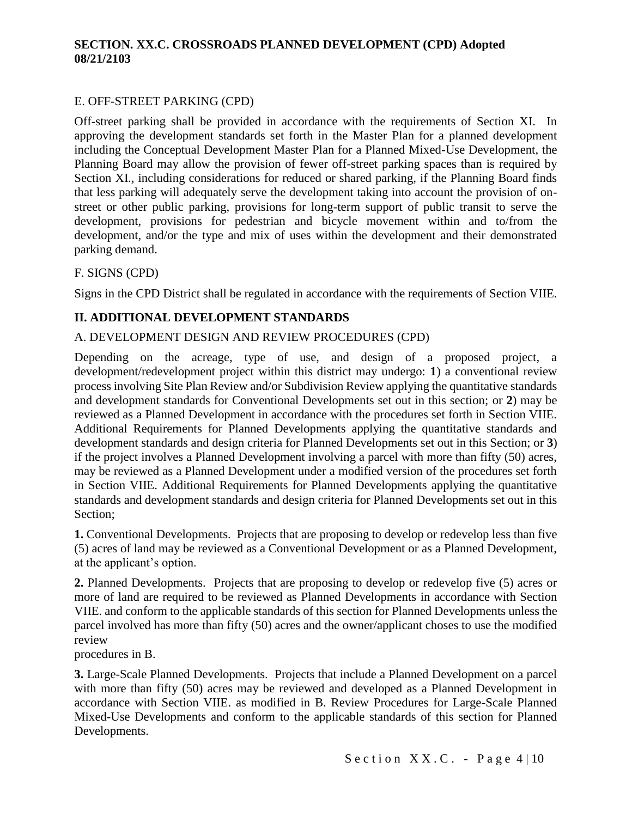## E. OFF-STREET PARKING (CPD)

Off-street parking shall be provided in accordance with the requirements of Section XI. In approving the development standards set forth in the Master Plan for a planned development including the Conceptual Development Master Plan for a Planned Mixed-Use Development, the Planning Board may allow the provision of fewer off-street parking spaces than is required by Section XI., including considerations for reduced or shared parking, if the Planning Board finds that less parking will adequately serve the development taking into account the provision of onstreet or other public parking, provisions for long-term support of public transit to serve the development, provisions for pedestrian and bicycle movement within and to/from the development, and/or the type and mix of uses within the development and their demonstrated parking demand.

### F. SIGNS (CPD)

Signs in the CPD District shall be regulated in accordance with the requirements of Section VIIE.

# **II. ADDITIONAL DEVELOPMENT STANDARDS**

### A. DEVELOPMENT DESIGN AND REVIEW PROCEDURES (CPD)

Depending on the acreage, type of use, and design of a proposed project, a development/redevelopment project within this district may undergo: **1**) a conventional review process involving Site Plan Review and/or Subdivision Review applying the quantitative standards and development standards for Conventional Developments set out in this section; or **2**) may be reviewed as a Planned Development in accordance with the procedures set forth in Section VIIE. Additional Requirements for Planned Developments applying the quantitative standards and development standards and design criteria for Planned Developments set out in this Section; or **3**) if the project involves a Planned Development involving a parcel with more than fifty (50) acres, may be reviewed as a Planned Development under a modified version of the procedures set forth in Section VIIE. Additional Requirements for Planned Developments applying the quantitative standards and development standards and design criteria for Planned Developments set out in this Section;

**1.** Conventional Developments. Projects that are proposing to develop or redevelop less than five (5) acres of land may be reviewed as a Conventional Development or as a Planned Development, at the applicant's option.

**2.** Planned Developments.Projects that are proposing to develop or redevelop five (5) acres or more of land are required to be reviewed as Planned Developments in accordance with Section VIIE. and conform to the applicable standards of this section for Planned Developments unless the parcel involved has more than fifty (50) acres and the owner/applicant choses to use the modified review

procedures in B.

**3.** Large-Scale Planned Developments. Projects that include a Planned Development on a parcel with more than fifty (50) acres may be reviewed and developed as a Planned Development in accordance with Section VIIE. as modified in B. Review Procedures for Large-Scale Planned Mixed-Use Developments and conform to the applicable standards of this section for Planned Developments.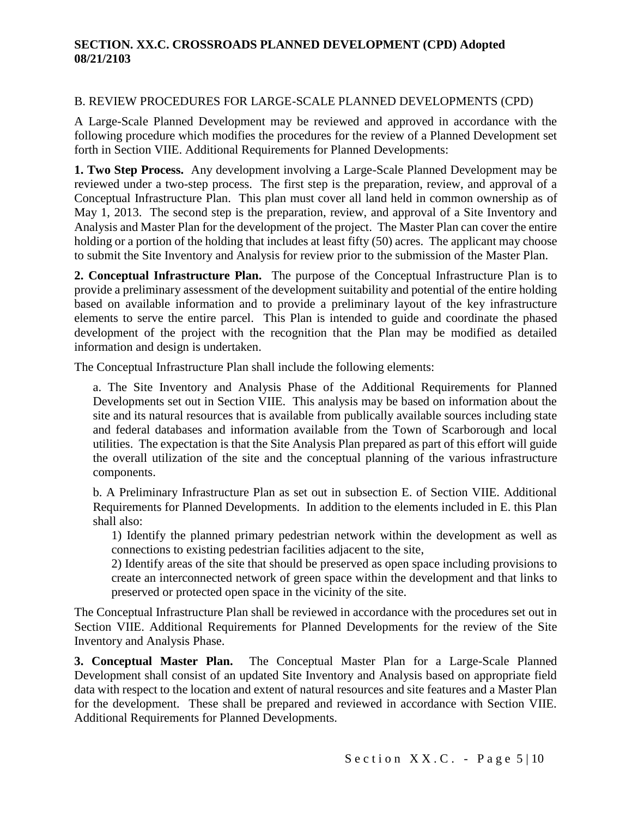### B. REVIEW PROCEDURES FOR LARGE-SCALE PLANNED DEVELOPMENTS (CPD)

A Large-Scale Planned Development may be reviewed and approved in accordance with the following procedure which modifies the procedures for the review of a Planned Development set forth in Section VIIE. Additional Requirements for Planned Developments:

**1. Two Step Process.** Any development involving a Large-Scale Planned Development may be reviewed under a two-step process. The first step is the preparation, review, and approval of a Conceptual Infrastructure Plan. This plan must cover all land held in common ownership as of May 1, 2013. The second step is the preparation, review, and approval of a Site Inventory and Analysis and Master Plan for the development of the project. The Master Plan can cover the entire holding or a portion of the holding that includes at least fifty (50) acres. The applicant may choose to submit the Site Inventory and Analysis for review prior to the submission of the Master Plan.

**2. Conceptual Infrastructure Plan.** The purpose of the Conceptual Infrastructure Plan is to provide a preliminary assessment of the development suitability and potential of the entire holding based on available information and to provide a preliminary layout of the key infrastructure elements to serve the entire parcel. This Plan is intended to guide and coordinate the phased development of the project with the recognition that the Plan may be modified as detailed information and design is undertaken.

The Conceptual Infrastructure Plan shall include the following elements:

a. The Site Inventory and Analysis Phase of the Additional Requirements for Planned Developments set out in Section VIIE. This analysis may be based on information about the site and its natural resources that is available from publically available sources including state and federal databases and information available from the Town of Scarborough and local utilities. The expectation is that the Site Analysis Plan prepared as part of this effort will guide the overall utilization of the site and the conceptual planning of the various infrastructure components.

b. A Preliminary Infrastructure Plan as set out in subsection E. of Section VIIE. Additional Requirements for Planned Developments. In addition to the elements included in E. this Plan shall also:

1) Identify the planned primary pedestrian network within the development as well as connections to existing pedestrian facilities adjacent to the site,

2) Identify areas of the site that should be preserved as open space including provisions to create an interconnected network of green space within the development and that links to preserved or protected open space in the vicinity of the site.

The Conceptual Infrastructure Plan shall be reviewed in accordance with the procedures set out in Section VIIE. Additional Requirements for Planned Developments for the review of the Site Inventory and Analysis Phase.

**3. Conceptual Master Plan.** The Conceptual Master Plan for a Large-Scale Planned Development shall consist of an updated Site Inventory and Analysis based on appropriate field data with respect to the location and extent of natural resources and site features and a Master Plan for the development. These shall be prepared and reviewed in accordance with Section VIIE. Additional Requirements for Planned Developments.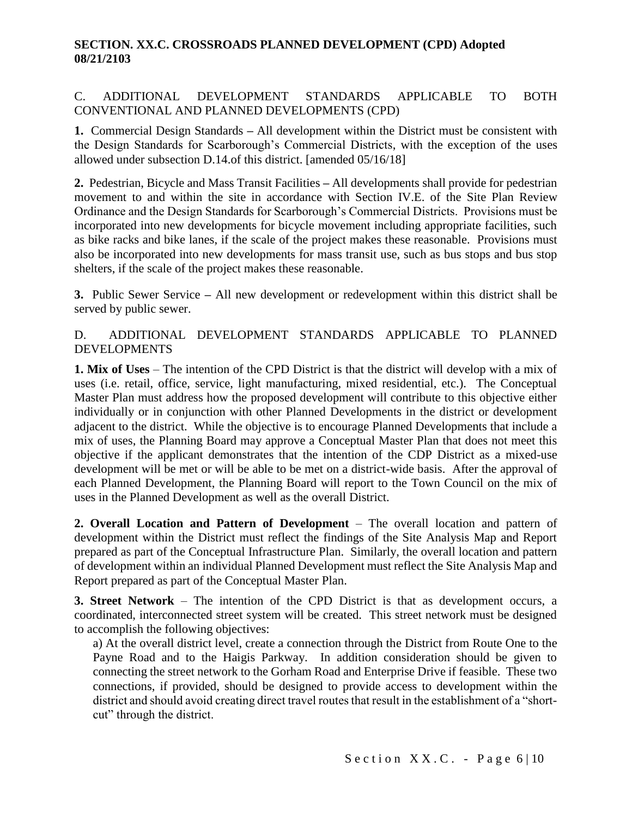# C. ADDITIONAL DEVELOPMENT STANDARDS APPLICABLE TO BOTH CONVENTIONAL AND PLANNED DEVELOPMENTS (CPD)

**1.** Commercial Design Standards **–** All development within the District must be consistent with the Design Standards for Scarborough's Commercial Districts, with the exception of the uses allowed under subsection D.14.of this district. [amended 05/16/18]

**2.** Pedestrian, Bicycle and Mass Transit Facilities **–** All developments shall provide for pedestrian movement to and within the site in accordance with Section IV.E. of the Site Plan Review Ordinance and the Design Standards for Scarborough's Commercial Districts. Provisions must be incorporated into new developments for bicycle movement including appropriate facilities, such as bike racks and bike lanes, if the scale of the project makes these reasonable. Provisions must also be incorporated into new developments for mass transit use, such as bus stops and bus stop shelters, if the scale of the project makes these reasonable.

**3.** Public Sewer Service **–** All new development or redevelopment within this district shall be served by public sewer.

# D. ADDITIONAL DEVELOPMENT STANDARDS APPLICABLE TO PLANNED DEVELOPMENTS

**1. Mix of Uses** – The intention of the CPD District is that the district will develop with a mix of uses (i.e. retail, office, service, light manufacturing, mixed residential, etc.). The Conceptual Master Plan must address how the proposed development will contribute to this objective either individually or in conjunction with other Planned Developments in the district or development adjacent to the district. While the objective is to encourage Planned Developments that include a mix of uses, the Planning Board may approve a Conceptual Master Plan that does not meet this objective if the applicant demonstrates that the intention of the CDP District as a mixed-use development will be met or will be able to be met on a district-wide basis. After the approval of each Planned Development, the Planning Board will report to the Town Council on the mix of uses in the Planned Development as well as the overall District.

**2. Overall Location and Pattern of Development** – The overall location and pattern of development within the District must reflect the findings of the Site Analysis Map and Report prepared as part of the Conceptual Infrastructure Plan. Similarly, the overall location and pattern of development within an individual Planned Development must reflect the Site Analysis Map and Report prepared as part of the Conceptual Master Plan.

**3. Street Network** – The intention of the CPD District is that as development occurs, a coordinated, interconnected street system will be created. This street network must be designed to accomplish the following objectives:

a) At the overall district level, create a connection through the District from Route One to the Payne Road and to the Haigis Parkway. In addition consideration should be given to connecting the street network to the Gorham Road and Enterprise Drive if feasible. These two connections, if provided, should be designed to provide access to development within the district and should avoid creating direct travel routes that result in the establishment of a "shortcut" through the district.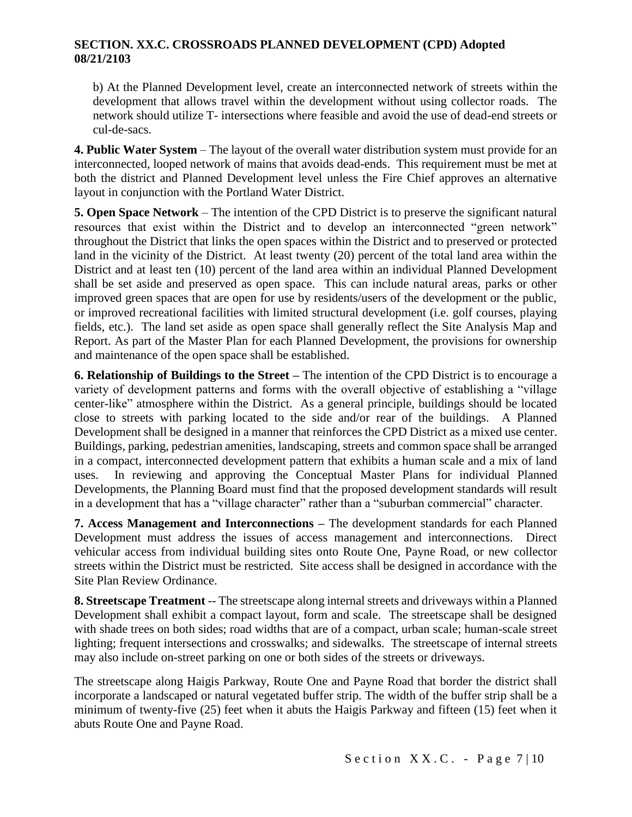b) At the Planned Development level, create an interconnected network of streets within the development that allows travel within the development without using collector roads. The network should utilize T- intersections where feasible and avoid the use of dead-end streets or cul-de-sacs.

**4. Public Water System** – The layout of the overall water distribution system must provide for an interconnected, looped network of mains that avoids dead-ends. This requirement must be met at both the district and Planned Development level unless the Fire Chief approves an alternative layout in conjunction with the Portland Water District.

**5. Open Space Network** – The intention of the CPD District is to preserve the significant natural resources that exist within the District and to develop an interconnected "green network" throughout the District that links the open spaces within the District and to preserved or protected land in the vicinity of the District. At least twenty (20) percent of the total land area within the District and at least ten (10) percent of the land area within an individual Planned Development shall be set aside and preserved as open space. This can include natural areas, parks or other improved green spaces that are open for use by residents/users of the development or the public, or improved recreational facilities with limited structural development (i.e. golf courses, playing fields, etc.). The land set aside as open space shall generally reflect the Site Analysis Map and Report. As part of the Master Plan for each Planned Development, the provisions for ownership and maintenance of the open space shall be established.

**6. Relationship of Buildings to the Street –** The intention of the CPD District is to encourage a variety of development patterns and forms with the overall objective of establishing a "village center-like" atmosphere within the District. As a general principle, buildings should be located close to streets with parking located to the side and/or rear of the buildings. A Planned Development shall be designed in a manner that reinforces the CPD District as a mixed use center. Buildings, parking, pedestrian amenities, landscaping, streets and common space shall be arranged in a compact, interconnected development pattern that exhibits a human scale and a mix of land uses. In reviewing and approving the Conceptual Master Plans for individual Planned Developments, the Planning Board must find that the proposed development standards will result in a development that has a "village character" rather than a "suburban commercial" character.

**7. Access Management and Interconnections –** The development standards for each Planned Development must address the issues of access management and interconnections. Direct vehicular access from individual building sites onto Route One, Payne Road, or new collector streets within the District must be restricted. Site access shall be designed in accordance with the Site Plan Review Ordinance.

**8. Streetscape Treatment** -- The streetscape along internal streets and driveways within a Planned Development shall exhibit a compact layout, form and scale. The streetscape shall be designed with shade trees on both sides; road widths that are of a compact, urban scale; human-scale street lighting; frequent intersections and crosswalks; and sidewalks. The streetscape of internal streets may also include on-street parking on one or both sides of the streets or driveways.

The streetscape along Haigis Parkway, Route One and Payne Road that border the district shall incorporate a landscaped or natural vegetated buffer strip. The width of the buffer strip shall be a minimum of twenty-five (25) feet when it abuts the Haigis Parkway and fifteen (15) feet when it abuts Route One and Payne Road.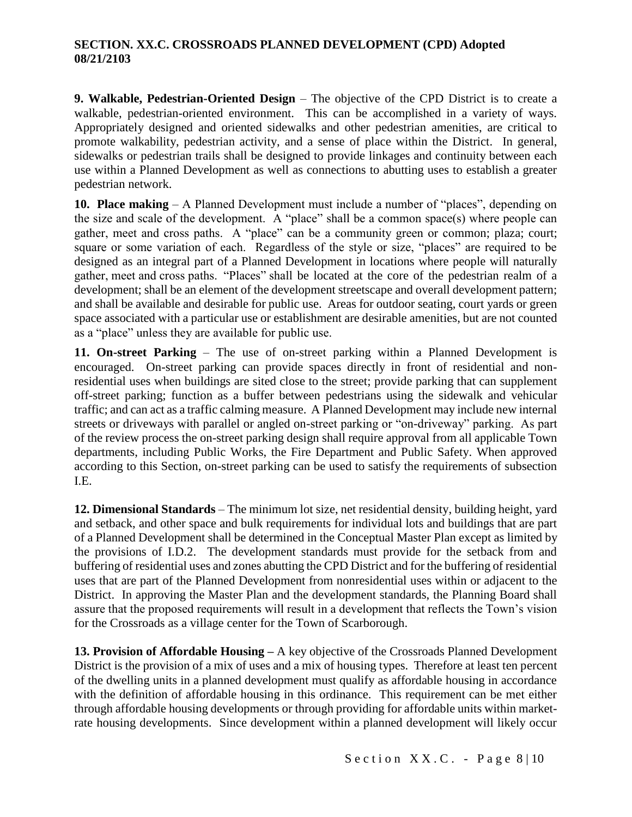**9. Walkable, Pedestrian-Oriented Design** – The objective of the CPD District is to create a walkable, pedestrian-oriented environment. This can be accomplished in a variety of ways. Appropriately designed and oriented sidewalks and other pedestrian amenities, are critical to promote walkability, pedestrian activity, and a sense of place within the District. In general, sidewalks or pedestrian trails shall be designed to provide linkages and continuity between each use within a Planned Development as well as connections to abutting uses to establish a greater pedestrian network.

**10. Place making** – A Planned Development must include a number of "places", depending on the size and scale of the development. A "place" shall be a common space(s) where people can gather, meet and cross paths. A "place" can be a community green or common; plaza; court; square or some variation of each. Regardless of the style or size, "places" are required to be designed as an integral part of a Planned Development in locations where people will naturally gather, meet and cross paths. "Places" shall be located at the core of the pedestrian realm of a development; shall be an element of the development streetscape and overall development pattern; and shall be available and desirable for public use. Areas for outdoor seating, court yards or green space associated with a particular use or establishment are desirable amenities, but are not counted as a "place" unless they are available for public use.

**11. On-street Parking** – The use of on-street parking within a Planned Development is encouraged. On-street parking can provide spaces directly in front of residential and nonresidential uses when buildings are sited close to the street; provide parking that can supplement off-street parking; function as a buffer between pedestrians using the sidewalk and vehicular traffic; and can act as a traffic calming measure. A Planned Development may include new internal streets or driveways with parallel or angled on-street parking or "on-driveway" parking. As part of the review process the on-street parking design shall require approval from all applicable Town departments, including Public Works, the Fire Department and Public Safety. When approved according to this Section, on-street parking can be used to satisfy the requirements of subsection I.E.

**12. Dimensional Standards** – The minimum lot size, net residential density, building height, yard and setback, and other space and bulk requirements for individual lots and buildings that are part of a Planned Development shall be determined in the Conceptual Master Plan except as limited by the provisions of I.D.2. The development standards must provide for the setback from and buffering of residential uses and zones abutting the CPD District and for the buffering of residential uses that are part of the Planned Development from nonresidential uses within or adjacent to the District. In approving the Master Plan and the development standards, the Planning Board shall assure that the proposed requirements will result in a development that reflects the Town's vision for the Crossroads as a village center for the Town of Scarborough.

**13. Provision of Affordable Housing –** A key objective of the Crossroads Planned Development District is the provision of a mix of uses and a mix of housing types. Therefore at least ten percent of the dwelling units in a planned development must qualify as affordable housing in accordance with the definition of affordable housing in this ordinance. This requirement can be met either through affordable housing developments or through providing for affordable units within marketrate housing developments. Since development within a planned development will likely occur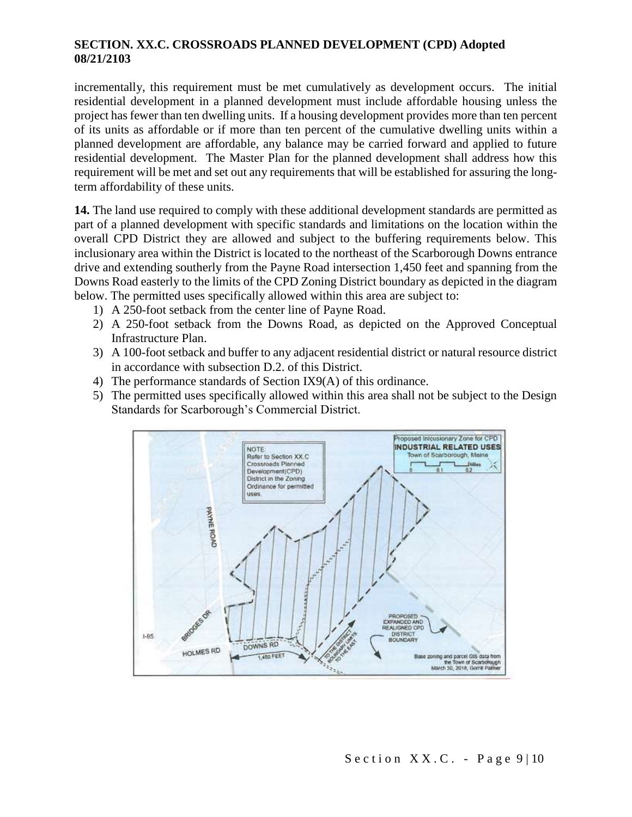incrementally, this requirement must be met cumulatively as development occurs. The initial residential development in a planned development must include affordable housing unless the project has fewer than ten dwelling units. If a housing development provides more than ten percent of its units as affordable or if more than ten percent of the cumulative dwelling units within a planned development are affordable, any balance may be carried forward and applied to future residential development. The Master Plan for the planned development shall address how this requirement will be met and set out any requirements that will be established for assuring the longterm affordability of these units.

**14.** The land use required to comply with these additional development standards are permitted as part of a planned development with specific standards and limitations on the location within the overall CPD District they are allowed and subject to the buffering requirements below. This inclusionary area within the District is located to the northeast of the Scarborough Downs entrance drive and extending southerly from the Payne Road intersection 1,450 feet and spanning from the Downs Road easterly to the limits of the CPD Zoning District boundary as depicted in the diagram below. The permitted uses specifically allowed within this area are subject to:

- 1) A 250-foot setback from the center line of Payne Road.
- 2) A 250-foot setback from the Downs Road, as depicted on the Approved Conceptual Infrastructure Plan.
- 3) A 100-foot setback and buffer to any adjacent residential district or natural resource district in accordance with subsection D.2. of this District.
- 4) The performance standards of Section IX9(A) of this ordinance.
- 5) The permitted uses specifically allowed within this area shall not be subject to the Design Standards for Scarborough's Commercial District.